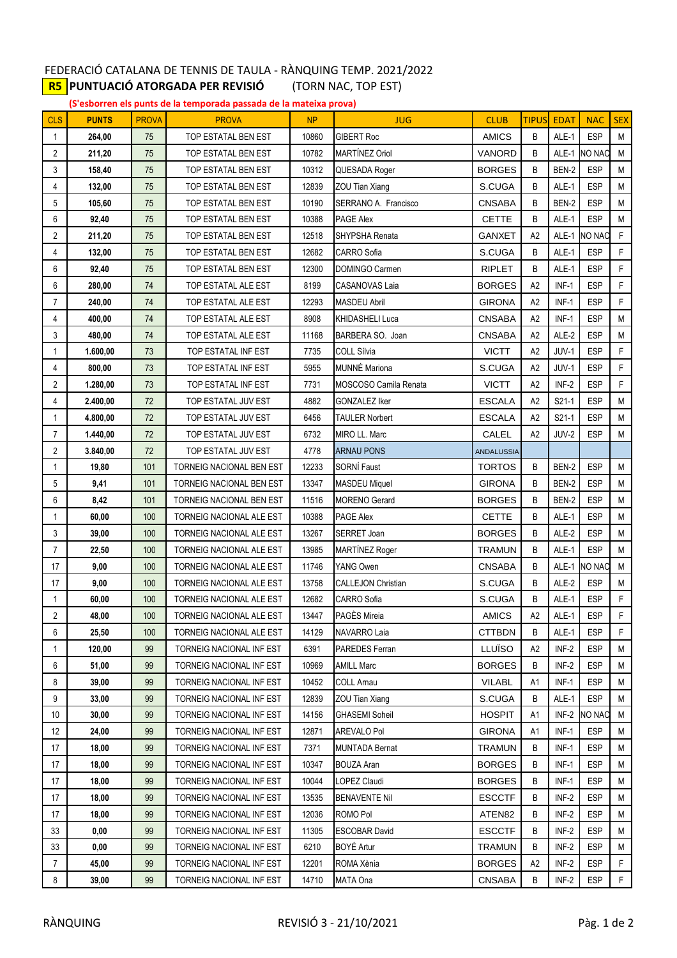## FEDERACIÓ CATALANA DE TENNIS DE TAULA - RÀNQUING TEMP. 2021/2022 **R5 PUNTUACIÓ ATORGADA PER REVISIÓ** (TORN NAC, TOP EST)

**(S'esborren els punts de la temporada passada de la mateixa prova)**

| <b>CLS</b>     | <b>PUNTS</b> | <b>PROVA</b> | <b>PROVA</b>             | <b>NP</b> | <b>JUG</b>                   | <b>CLUB</b>       | <b>TIPUS</b>   | <b>EDAT</b> | <b>NAC</b>    | <b>SEX</b> |
|----------------|--------------|--------------|--------------------------|-----------|------------------------------|-------------------|----------------|-------------|---------------|------------|
| 1              | 264,00       | 75           | TOP ESTATAL BEN EST      | 10860     | <b>GIBERT Roc</b>            | <b>AMICS</b>      | B              | ALE-1       | <b>ESP</b>    | M          |
| 2              | 211,20       | 75           | TOP ESTATAL BEN EST      | 10782     | MARTÍNEZ Oriol               | <b>VANORD</b>     | B              | ALE-1       | <b>NO NAC</b> | M          |
| 3              | 158,40       | 75           | TOP ESTATAL BEN EST      | 10312     | QUESADA Roger                | <b>BORGES</b>     | B              | BEN-2       | <b>ESP</b>    | M          |
| 4              | 132,00       | 75           | TOP ESTATAL BEN EST      | 12839     | ZOU Tian Xiang               | S.CUGA            | B              | ALE-1       | <b>ESP</b>    | M          |
| 5              | 105,60       | 75           | TOP ESTATAL BEN EST      | 10190     | SERRANO A. Francisco         | <b>CNSABA</b>     | B              | BEN-2       | <b>ESP</b>    | M          |
| 6              | 92,40        | 75           | TOP ESTATAL BEN EST      | 10388     | <b>PAGE Alex</b>             | <b>CETTE</b>      | B              | ALE-1       | <b>ESP</b>    | M          |
| 2              | 211,20       | 75           | TOP ESTATAL BEN EST      | 12518     | SHYPSHA Renata               | <b>GANXET</b>     | A <sub>2</sub> | ALE-1       | <b>NO NAC</b> | F          |
| 4              | 132,00       | 75           | TOP ESTATAL BEN EST      | 12682     | <b>CARRO</b> Sofia           | S.CUGA            | B              | ALE-1       | <b>ESP</b>    | F          |
| 6              | 92,40        | 75           | TOP ESTATAL BEN EST      | 12300     | DOMINGO Carmen               | <b>RIPLET</b>     | B              | ALE-1       | <b>ESP</b>    | F          |
| 6              | 280,00       | 74           | TOP ESTATAL ALE EST      | 8199      | <b>CASANOVAS Laia</b>        | <b>BORGES</b>     | A <sub>2</sub> | INF-1       | <b>ESP</b>    | F          |
| $\overline{7}$ | 240,00       | 74           | TOP ESTATAL ALE EST      | 12293     | <b>MASDEU Abril</b>          | <b>GIRONA</b>     | A <sub>2</sub> | $INF-1$     | <b>ESP</b>    | F          |
| 4              | 400,00       | 74           | TOP ESTATAL ALE EST      | 8908      | <b>KHIDASHELI Luca</b>       | <b>CNSABA</b>     | A <sub>2</sub> | INF-1       | <b>ESP</b>    | M          |
| 3              | 480,00       | 74           | TOP ESTATAL ALE EST      | 11168     | BARBERA SO. Joan             | <b>CNSABA</b>     | A2             | ALE-2       | <b>ESP</b>    | M          |
| 1              | 1.600,00     | 73           | TOP ESTATAL INF EST      | 7735      | <b>COLL Sílvia</b>           | <b>VICTT</b>      | A <sub>2</sub> | JUV-1       | <b>ESP</b>    | F          |
| 4              | 800,00       | 73           | TOP ESTATAL INF EST      | 5955      | MUNNÉ Mariona                | S.CUGA            | A <sub>2</sub> | JUV-1       | <b>ESP</b>    | F          |
| 2              | 1.280,00     | 73           | TOP ESTATAL INF EST      | 7731      | <b>MOSCOSO Camila Renata</b> | <b>VICTT</b>      | A <sub>2</sub> | INF-2       | <b>ESP</b>    | F          |
| 4              | 2.400,00     | 72           | TOP ESTATAL JUV EST      | 4882      | <b>GONZALEZ Iker</b>         | <b>ESCALA</b>     | A <sub>2</sub> | S21-1       | <b>ESP</b>    | M          |
| 1              | 4.800,00     | 72           | TOP ESTATAL JUV EST      | 6456      | <b>TAULER Norbert</b>        | <b>ESCALA</b>     | A2             | $S21-1$     | <b>ESP</b>    | M          |
| 7              | 1.440,00     | 72           | TOP ESTATAL JUV EST      | 6732      | MIRO LL. Marc                | CALEL             | A <sub>2</sub> | JUV-2       | <b>ESP</b>    | M          |
| 2              | 3.840,00     | 72           | TOP ESTATAL JUV EST      | 4778      | <b>ARNAU PONS</b>            | <b>ANDALUSSIA</b> |                |             |               |            |
| 1              | 19,80        | 101          | TORNEIG NACIONAL BEN EST | 12233     | SORNÍ Faust                  | <b>TORTOS</b>     | B              | BEN-2       | <b>ESP</b>    | М          |
| 5              | 9,41         | 101          | TORNEIG NACIONAL BEN EST | 13347     | <b>MASDEU Miquel</b>         | <b>GIRONA</b>     | B              | BEN-2       | <b>ESP</b>    | M          |
| 6              | 8,42         | 101          | TORNEIG NACIONAL BEN EST | 11516     | <b>MORENO</b> Gerard         | <b>BORGES</b>     | B              | BEN-2       | <b>ESP</b>    | M          |
| 1              | 60,00        | 100          | TORNEIG NACIONAL ALE EST | 10388     | <b>PAGE Alex</b>             | <b>CETTE</b>      | B              | ALE-1       | <b>ESP</b>    | M          |
| 3              | 39,00        | 100          | TORNEIG NACIONAL ALE EST | 13267     | SERRET Joan                  | <b>BORGES</b>     | B              | ALE-2       | <b>ESP</b>    | M          |
| 7              | 22,50        | 100          | TORNEIG NACIONAL ALE EST | 13985     | MARTÍNEZ Roger               | <b>TRAMUN</b>     | B              | ALE-1       | <b>ESP</b>    | M          |
| 17             | 9,00         | 100          | TORNEIG NACIONAL ALE EST | 11746     | YANG Owen                    | <b>CNSABA</b>     | B              |             | ALE-1 NO NAC  | M          |
| 17             | 9,00         | 100          | TORNEIG NACIONAL ALE EST | 13758     | <b>CALLEJON Christian</b>    | S.CUGA            | B              | ALE-2       | <b>ESP</b>    | M          |
| 1              | 60,00        | 100          | TORNEIG NACIONAL ALE EST | 12682     | CARRO Sofia                  | S.CUGA            | B              | ALE-1       | <b>ESP</b>    | F          |
| 2              | 48,00        | 100          | TORNEIG NACIONAL ALE EST | 13447     | PAGÈS Mireia                 | <b>AMICS</b>      | A <sub>2</sub> | ALE-1       | <b>ESP</b>    | F          |
| 6              | 25,50        | 100          | TORNEIG NACIONAL ALE EST | 14129     | <b>NAVARRO Laia</b>          | <b>CTTBDN</b>     | B              | ALE-1       | <b>ESP</b>    | F          |
| 1              | 120,00       | 99           | TORNEIG NACIONAL INF EST | 6391      | PAREDES Ferran               | LLUÏSO            | A <sub>2</sub> | INF-2       | <b>ESP</b>    | М          |
| 6              | 51,00        | 99           | TORNEIG NACIONAL INF EST | 10969     | <b>AMILL Marc</b>            | <b>BORGES</b>     | B              | INF-2       | <b>ESP</b>    | M          |
| 8              | 39,00        | 99           | TORNEIG NACIONAL INF EST | 10452     | COLL Arnau                   | <b>VILABL</b>     | A1             | $INF-1$     | <b>ESP</b>    | М          |
| 9              | 33,00        | 99           | TORNEIG NACIONAL INF EST | 12839     | ZOU Tian Xiang               | S.CUGA            | B              | ALE-1       | <b>ESP</b>    | М          |
| 10             | 30,00        | 99           | TORNEIG NACIONAL INF EST | 14156     | <b>GHASEMI Soheil</b>        | <b>HOSPIT</b>     | A1             | $INF-2$     | NO NAC        | М          |
| 12             | 24,00        | 99           | TORNEIG NACIONAL INF EST | 12871     | <b>AREVALO Pol</b>           | <b>GIRONA</b>     | A1             | $INF-1$     | <b>ESP</b>    | М          |
| 17             | 18,00        | 99           | TORNEIG NACIONAL INF EST | 7371      | <b>MUNTADA Bernat</b>        | <b>TRAMUN</b>     | B              | INF-1       | ESP           | М          |
| 17             | 18,00        | 99           | TORNEIG NACIONAL INF EST | 10347     | <b>BOUZA Aran</b>            | <b>BORGES</b>     | B              | $INF-1$     | <b>ESP</b>    | M          |
| 17             | 18,00        | 99           | TORNEIG NACIONAL INF EST | 10044     | LOPEZ Claudi                 | <b>BORGES</b>     | В              | INF-1       | <b>ESP</b>    | М          |
| 17             | 18,00        | 99           | TORNEIG NACIONAL INF EST | 13535     | <b>BENAVENTE Nil</b>         | <b>ESCCTF</b>     | В              | INF-2       | <b>ESP</b>    | М          |
| 17             | 18,00        | 99           | TORNEIG NACIONAL INF EST | 12036     | ROMO Pol                     | ATEN82            | B              | INF-2       | ESP           | М          |
| 33             | 0,00         | 99           | TORNEIG NACIONAL INF EST | 11305     | <b>ESCOBAR David</b>         | <b>ESCCTF</b>     | B              | INF-2       | <b>ESP</b>    | М          |
| 33             | 0,00         | 99           | TORNEIG NACIONAL INF EST | 6210      | BOYÉ Artur                   | <b>TRAMUN</b>     | B              | INF-2       | <b>ESP</b>    | М          |
| 7              | 45,00        | 99           | TORNEIG NACIONAL INF EST | 12201     | ROMA Xènia                   | <b>BORGES</b>     | A2             | INF-2       | <b>ESP</b>    | F.         |
| 8              | 39,00        | 99           | TORNEIG NACIONAL INF EST | 14710     | <b>MATA Ona</b>              | <b>CNSABA</b>     | B              | INF-2       | ESP           | F.         |